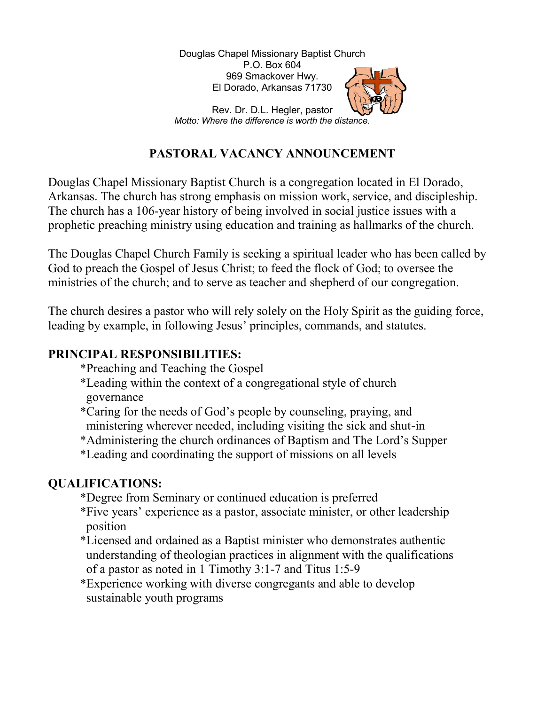Douglas Chapel Missionary Baptist Church Church P.O. Box 604 969 Smackover Hwy. El Dorado, Arkansas 71730



Motto: Where the difference is worth the distance. Motto: Where Rev. Dr. D.L. Hegler, pastor

# PASTORAL VACANCY ANNOUNCEMENT

Douglas Chapel Missionary Baptist Church is a congregation located in El Dorado, Arkansas. The church has strong emphasis on mission work, service, and discipleship. The church has a 106-year history of being involved in social justice issues with a Arkansas. The church has strong emphasis on mission work, service, and discipleship.<br>The church has a 106-year history of being involved in social justice issues with a<br>prophetic preaching ministry using education and trai onary Baptist Church is a congregation located in El Dorado,<br>has strong emphasis on mission work, service, and discipleship<br>year history of being involved in social justice issues with a<br>inistry using education and trainin

The Douglas Chapel Church Family is seeking a spiritual leader who has been called by God to preach the Gospel of Jesus Christ; to feed the flock of God; to oversee the The Douglas Chapel Church Family is seeking a spiritual leader who has been calle<br>God to preach the Gospel of Jesus Christ; to feed the flock of God; to oversee the<br>ministries of the church; and to serve as teacher and she

The church desires a pastor who will rely solely on the Holy Spirit as the guiding force, leading by example, in following Jesus' principles, commands, and statutes. leading by example, in following Jesus' principles, commands, and statutes.

### PRINCIPAL RESPONSIBILITIES: RESPONSIBILITIES:

- \*Preaching and Teaching Teaching the Gospel
- \*Leading within the context of a congregational style of church governance \*Leading within the context of a congregational style of church<br>governance<br>\*Caring for the needs of God's people by counseling, praying, and
- ministering wherever needed, including visiting the sick and shut-in
- ministering wherever needed, including visiting the sick and shut-in<br>\*Administering the church ordinances of Baptism and The Lord's Supper
- \*Leading and coordinating the support of missions on all levels

## QUALIFICATIONS:

- \*Degree from Seminary or continued education is preferred
- \*Five years' experience as a pastor, associate minister, or other leadership position Example 18 and coordinating the support of missions on all levels<br>
LIFICATIONS:<br>
\*Degree from Seminary or continued education is preferred<br>
\*Five years' experience as a pastor, associate minister, or other leadership<br>
posi
- \*Licensed and ordained as a Baptist minister who demonstrates authentic of a pastor as noted in 1 Timothy 3:1-7 and Titus  $1:5-9$
- \*Experience working with diverse congregants and able to develop sustainable youth programs